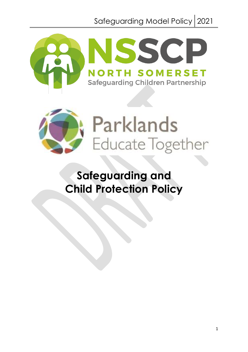Safeguarding Model Policy 2021





**Safeguarding and Child Protection Policy**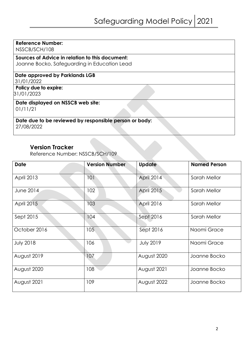#### **Reference Number:**

NSSCB/SCH/108

# **Sources of Advice in relation to this document:**

Joanne Bocko, Safeguarding in Education Lead

#### **Date approved by Parklands LGB** 31/01/2022

**Policy due to expire:** 31/01/2023

#### **Date displayed on NSSCB web site:**  01/11/21

**Date due to be reviewed by responsible person or body:**  27/08/2022

## **Version Tracker**

Reference Number: NSSCB/SCH/109

| <b>Date</b>       | <b>Version Number</b> | <b>Update</b>    | <b>Named Person</b> |
|-------------------|-----------------------|------------------|---------------------|
| <b>April 2013</b> | 101                   | April 2014       | Sarah Mellor        |
| June 2014         | 102                   | April 2015       | Sarah Mellor        |
| <b>April 2015</b> | 103                   | April 2016       | Sarah Mellor        |
| Sept 2015         | 104                   | Sept 2016        | Sarah Mellor        |
| October 2016      | 105                   | Sept 2016        | Naomi Grace         |
| <b>July 2018</b>  | 106                   | <b>July 2019</b> | Naomi Grace         |
| August 2019       | 107                   | August 2020      | Joanne Bocko        |
| August 2020       | 108                   | August 2021      | Joanne Bocko        |
| August 2021       | 109                   | August 2022      | Joanne Bocko        |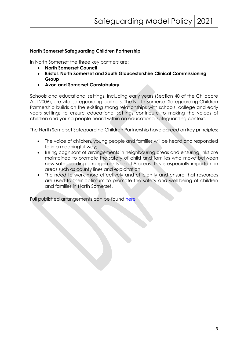#### **North Somerset Safeguarding Children Partnership**

In North Somerset the three key partners are:

- **North Somerset Council**
- **Bristol, North Somerset and South Gloucestershire Clinical Commissioning Group**
- **Avon and Somerset Constabulary**

Schools and educational settings, including early years (Section 40 of the Childcare Act 2006), are vital safeguarding partners. The North Somerset Safeguarding Children Partnership builds on the existing strong relationships with schools, college and early years settings to ensure educational settings contribute to making the voices of children and young people heard within an educational safeguarding context.

The North Somerset Safeguarding Children Partnership have agreed on key principles:

- The voice of children, young people and families will be heard and responded to in a meaningful way;
- Being cognisant of arrangements in neighbouring areas and ensuring links are maintained to promote the safety of child and families who move between new safeguarding arrangements and LA areas. This is especially important in areas such as county lines and exploitation;
- The need to work more effectively and efficiently and ensure that resources are used to their optimum to promote the safety and well-being of children and families in North Somerset.

Full published arrangements can be found here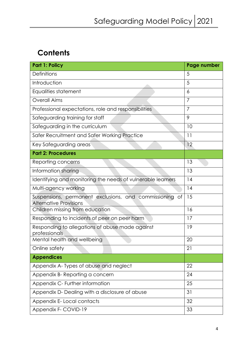# **Contents**

| <b>Part 1: Policy</b>                                                                    | Page number    |
|------------------------------------------------------------------------------------------|----------------|
| <b>Definitions</b>                                                                       | 5              |
| Introduction                                                                             | 5              |
| Equalities statement                                                                     | 6              |
| <b>Overall Aims</b>                                                                      | 7              |
| Professional expectations, role and responsibilities                                     | $\overline{7}$ |
| Safeguarding training for staff                                                          | 9              |
| Safeguarding in the curriculum                                                           | 10             |
| Safer Recruitment and Safer Working Practice                                             | 11             |
| Key Safeguarding areas                                                                   | 12             |
| <b>Part 2: Procedures</b>                                                                |                |
| Reporting concerns                                                                       | 13             |
| Information sharing                                                                      | 13             |
| Identifying and monitoring the needs of vulnerable learners                              | 14             |
| Multi-agency working                                                                     | 14             |
| Suspensions, permanent exclusions, and commissioning of<br><b>Alternative Provisions</b> | 15             |
| Children missing from education                                                          | 16             |
| Responding to incidents of peer on peer harm                                             | 17             |
| Responding to allegations of abuse made against<br>professionals                         | 19             |
| Mental health and wellbeing                                                              | 20             |
| Online safety                                                                            | 21             |
| <b>Appendices</b>                                                                        |                |
| Appendix A-Types of abuse and neglect                                                    | 22             |
| Appendix B- Reporting a concern                                                          | 24             |
| Appendix C- Further information                                                          | 25             |
| Appendix D- Dealing with a disclosure of abuse                                           | 31             |
| Appendix E-Local contacts                                                                | 32             |
| Appendix F- COVID-19                                                                     | 33             |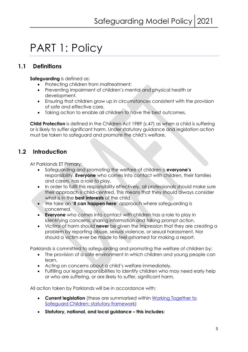# PART 1: Policy

# **1.1 Definitions**

**Safeguarding** is defined as:

- Protecting children from maltreatment;
- Preventing impairment of children's mental and physical health or development.
- Ensuring that children grow up in circumstances consistent with the provision of safe and effective care.
- Taking action to enable all children to have the best outcomes.

**Child Protection** is defined in the Children Act 1989 (s.47) as when a child is suffering or is likely to suffer significant harm. Under statutory guidance and legislation action must be taken to safeguard and promote the child's welfare.

# **1.2 Introduction**

At Parklands ET Primary:

- Safeguarding and promoting the welfare of children is **everyone's**  responsibility. **Everyone** who comes into contact with children, their families and carers, has a role to play.
- In order to fulfil this responsibility effectively, all professionals should make sure their approach is child-centred. This means that they should always consider what is in the **best interests** of the child.
- We take an '**it can happen here**' approach where safeguarding is concerned.
- **Everyone** who comes into contact with children has a role to play in identifying concerns, sharing information and taking prompt action.
- Victims of harm should **never** be given the impression that they are creating a problem by reporting abuse, sexual violence, or sexual harassment. Nor should a victim ever be made to feel ashamed for making a report.

Parklands is committed to safeguarding and promoting the welfare of children by:

- The provision of a safe environment in which children and young people can learn.
- Acting on concerns about a child's welfare immediately.
- Fulfilling our legal responsibilities to identify children who may need early help or who are suffering, or are likely to suffer, significant harm.

All action taken by Parklands will be in accordance with:

- **Current legislation** (these are summarised within Working Together to Safeguard Children: statutory framework)
- **Statutory, national, and local guidance – this includes:**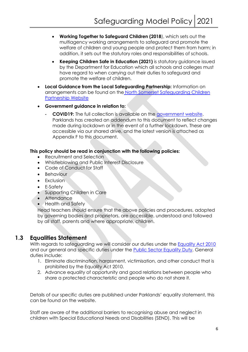- **Working Together to Safeguard Children (2018**), which sets out the multiagency working arrangements to safeguard and promote the welfare of children and young people and protect them from harm; in addition, it sets out the statutory roles and responsibilities of schools.
- **Keeping Children Safe in Education (2021)** is statutory guidance issued by the Department for Education which all schools and colleges must have regard to when carrying out their duties to safeguard and promote the welfare of children.
- **Local Guidance from the Local Safeguarding Partnership:** Information on arrangements can be found on the North Somerset Safeguarding Children Partnership Website
- **Government guidance in relation to:** 
	- **COVID19:** The full collection is available on the government website. Parklands has created an addendum to this document to reflect changes made during lockdown or in the event of a further lockdown. These are accessible via our shared drive, and the latest version is attached as Appendix F to this document.

#### **This policy should be read in conjunction with the following policies:**

- Recruitment and Selection
- Whistleblowing and Public Interest Disclosure
- Code of Conduct for Staff
- Behaviour
- Exclusion
- E-Safety
- Supporting Children in Care
- Attendance
- Health and Safety

Head teachers should ensure that the above policies and procedures, adopted by governing bodies and proprietors, are accessible, understood and followed by all staff, parents and where appropriate, children.

# **1.3 Equalities Statement**

With regards to safeguarding we will consider our duties under the Equality Act 2010 and our general and specific duties under the Public Sector Equality Duty. General duties include:

- 1. Eliminate discrimination, harassment, victimisation, and other conduct that is prohibited by the Equality Act 2010.
- 2. Advance equality of opportunity and good relations between people who share a protected characteristic and people who do not share it.

Details of our specific duties are published under Parklands' equality statement, this can be found on the website.

Staff are aware of the additional barriers to recognising abuse and neglect in children with Special Educational Needs and Disabilities (SEND). This will be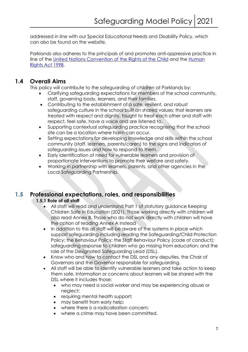addressed in line with our Special Educational Needs and Disability Policy, which can also be found on the website.

Parklands also adheres to the principals of and promotes anti-oppressive practice in line of the United Nations Convention of the Rights of the Child and the Human Rights Act 1998.

# **1.4 Overall Aims**

This policy will contribute to the safeguarding of children at Parklands by:

- Clarifying safeguarding expectations for members of the school community, staff, governing body, learners, and their families.
- Contributing to the establishment of a safe, resilient, and robust safeguarding culture in the school built on shared values; that learners are treated with respect and dignity, taught to treat each other and staff with respect, feel safe, have a voice and are listened to.
- Supporting contextual safeguarding practice recognising that the school site can be a location where harm can occur.
- Setting expectations for developing knowledge and skills within the school community (staff, learners, parents/carers) to the signs and indicators of safeguarding issues and how to respond to them.
- Early identification of need for vulnerable learners and provision of proportionate interventions to promote their welfare and safety.
- Working in partnership with learners, parents, and other agencies in the Local Safeguarding Partnership.

# **1.5 Professional expectations, roles, and responsibilities**

#### **1.5.1 Role of all staff**

- All staff will read and understand Part 1 of statutory guidance Keeping Children Safe in Education (2021). Those working directly with children will also read Annex B. Those who do not work directly with children will have the option of reading Annex A instead
- In addition to this all staff will be aware of the systems in place which support safeguarding including reading the Safeguarding/Child Protection Policy; the Behaviour Policy; the Staff Behaviour Policy (code of conduct); safeguarding response to children who go missing from education; and the role of the Designated Safeguarding Lead (DSL).
- Know who and how to contact the DSL and any deputies, the Chair of Governors and the Governor responsible for safeguarding.
- All staff will be able to identify vulnerable learners and take action to keep them safe. Information or concerns about learners will be shared with the DSL where it includes those:
	- who may need a social worker and may be experiencing abuse or neglect;
	- requiring mental health support;
	- may benefit from early help;
	- where there is a radicalisation concern;
	- where a crime may have been committed.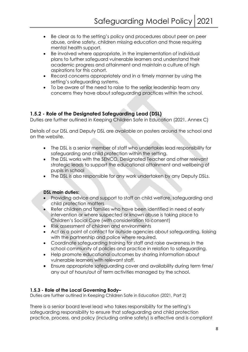- Be clear as to the setting's policy and procedures about peer on peer abuse, online safety, children missing education and those requiring mental health support.
- Be involved where appropriate, in the implementation of individual plans to further safeguard vulnerable learners and understand their academic progress and attainment and maintain a culture of high aspirations for this cohort.
- Record concerns appropriately and in a timely manner by using the setting's safeguarding systems.
- To be aware of the need to raise to the senior leadership team any concerns they have about safeguarding practices within the school.

#### **1.5.2 - Role of the Designated Safeguarding Lead (DSL)**

Duties are further outlined in Keeping Children Safe in Education (2021, Annex C)

Details of our DSL and Deputy DSL are available on posters around the school and on the website.

- The DSL is a senior member of staff who undertakes lead responsibility for safeguarding and child protection within the setting.
- The DSL works with the SENCO, Designated Teacher and other relevant strategic leads to support the educational attainment and wellbeing of pupils in school
- The DSL is also responsible for any work undertaken by any Deputy DSLs.

#### **DSL main duties:**

- Providing advice and support to staff on child welfare, safeguarding and child protection matters
- Refer children and families who have been identified in need of early intervention or where suspected or known abuse is taking place to Children's Social Care (with consideration to consent)
- Risk assessment of children and environments
- Act as a point of contact for outside agencies about safeguarding, liaising with the partnership and police where required.
- Coordinate safeguarding training for staff and raise awareness in the school community of policies and practice in relation to safeguarding.
- Help promote educational outcomes by sharing information about vulnerable learners with relevant staff.
- Ensure appropriate safeguarding cover and availability during term time/ any out of hours/out of term activities managed by the school.

#### **1.5.3 - Role of the Local Governing Body–**

Duties are further outlined in Keeping Children Safe in Education (2021, Part 2)

There is a senior board level lead who takes responsibility for the setting's safeguarding responsibility to ensure that safeguarding and child protection practice, process, and policy (including online safety) is effective and is compliant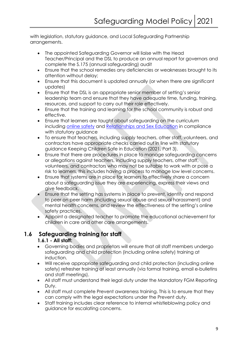with legislation, statutory guidance, and Local Safeguarding Partnership arrangements.

- The appointed Safeguarding Governor will liaise with the Head Teacher/Principal and the DSL to produce an annual report for governors and complete the S.175 (annual safeguarding) audit
- Ensure that the school remedies any deficiencies or weaknesses brought to its attention without delay;
- Ensure that this document is updated annually (or when there are significant updates)
- Ensure that the DSL is an appropriate senior member of setting's senior leadership team and ensure that they have adequate time, funding, training, resources, and support to carry out their role effectively.
- Ensure that the training and learning for the school community is robust and effective.
- Ensure that learners are taught about safeguarding on the curriculum including online safety and Relationships and Sex Education in compliance with statutory guidance
- To ensure that teachers, including supply teachers, other staff, volunteers, and contractors have appropriate checks carried out in line with statutory guidance Keeping Children Safe in Education (2021, Part 3).
- Ensure that there are procedures in place to manage safeguarding concerns or allegations against teachers, including supply teachers, other staff, volunteers, and contractors who may not be suitable to work with or pose a risk to learners, this includes having a process to manage low level concerns.
- Ensure that systems are in place for learners to effectively share a concern about a safeguarding issue they are experiencing, express their views and give feedback.
- Ensure that the setting has systems in place to prevent, identify and respond to peer on peer harm (including sexual abuse and sexual harassment) and mental health concerns, and review the effectiveness of the setting's online safety practices.
- Appoint a designated teacher to promote the educational achievement for children in care and other care arrangements.

# **1.6 Safeguarding training for staff**

### **1.6.1 - All staff:**

- Governing bodies and proprietors will ensure that all staff members undergo safeguarding and child protection (including online safety) training at induction.
- Will receive appropriate safeguarding and child protection (including online safety) refresher training at least annually (via formal training, email e-bulletins and staff meetings).
- All staff must understand their legal duty under the Mandatory FGM Reporting Duty.
- All staff must complete Prevent awareness training. This is to ensure that they can comply with the legal expectations under the Prevent duty.
- Staff training includes clear reference to internal whistleblowing policy and guidance for escalating concerns.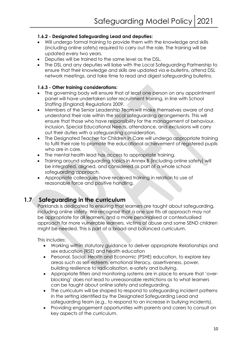#### **1.6.2 - Designated Safeguarding Lead and deputies:**

- Will undergo formal training to provide them with the knowledge and skills (including online safety) required to carry out the role. The training will be updated every two years.
- Deputies will be trained to the same level as the DSL.
- The DSL and any deputies will liaise with the Local Safeguarding Partnership to ensure that their knowledge and skills are updated via e-bulletins, attend DSL network meetings, and take time to read and digest safeguarding bulletins.

#### **1.6.3 - Other training considerations:**

- The governing body will ensure that at least one person on any appointment panel will have undertaken safer recruitment training, in line with School Staffing (England) Regulations 2009.
- Members of the Senior Leadership Team will make themselves aware of and understand their role within the local safeguarding arrangements. This will ensure that those who have responsibility for the management of behaviour, inclusion, Special Educational Needs, attendance, and exclusions will carry out their duties with a safeguarding consideration.
- The Designated Teacher for Children in Care will undergo appropriate training to fulfil their role to promote the educational achievement of registered pupils who are in care.
- The mental health lead has access to appropriate training.
- Training around safeguarding topics in Annex B (including online safety) will be integrated, aligned, and considered as part of a whole school safeguarding approach.
- Appropriate colleagues have received training in relation to use of reasonable force and positive handling.

# **1.7 Safeguarding in the curriculum**

Parklands is dedicated to ensuring that learners are taught about safeguarding, including online safety. We recognise that a one size fits all approach may not be appropriate for all learners, and a more personalised or contextualised approach for more vulnerable learners, victims of abuse and some SEND children might be needed. This is part of a broad and balanced curriculum.

This includes:

- Working within statutory guidance to deliver appropriate Relationships and sex education (RSE) and health education
- Personal, Social, Health and Economic (PSHE) education, to explore key areas such as self-esteem, emotional literacy, assertiveness, power, building resilience to radicalisation, e-safety and bullying.
- Appropriate filters and monitoring systems are in place to ensure that 'overblocking' does not lead to unreasonable restrictions as to what learners can be taught about online safety and safeguarding.
- The curriculum will be shaped to respond to safeguarding incident patterns in the setting identified by the Designated Safeguarding Lead and safeguarding team (e.g., to respond to an increase in bullying incidents).
- Providing engagement opportunities with parents and carers to consult on key aspects of the curriculum.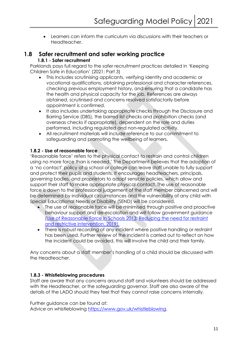• Learners can inform the curriculum via discussions with their teachers or Headteacher.

# **1.8 Safer recruitment and safer working practice**

#### **1.8.1 - Safer recruitment**

Parklands pays full regard to the safer recruitment practices detailed in 'Keeping Children Safe in Education' (2021; Part 3)

- This includes scrutinising applicants, verifying identity and academic or vocational qualifications, obtaining professional and character references, checking previous employment history, and ensuring that a candidate has the health and physical capacity for the job. References are always obtained, scrutinised and concerns resolved satisfactorily before appointment is confirmed.
- It also includes undertaking appropriate checks through the Disclosure and Barring Service (DBS), the barred list checks and prohibition checks (and overseas checks if appropriate), dependent on the role and duties performed, including regulated and non-regulated activity.
- All recruitment materials will include reference to our commitment to safeguarding and promoting the wellbeing of learners.

#### **1.8.2 - Use of reasonable force**

'Reasonable force' refers to the physical contact to restrain and control children using no more force than is needed.' The Department believes that the adoption of a 'no contact' policy at a school or college can leave staff unable to fully support and protect their pupils and students. It encourages headteachers, principals, governing bodies, and proprietors to adopt sensible policies, which allow and support their staff to make appropriate physical contact. The use of reasonable force is down to the professional judgement of the staff member concerned and will be determined by individual circumstances and the vulnerability of any child with Special Educational Needs or Disability (SEND) will be considered.

- The use of reasonable force will be minimised through positive and proactive behaviour support and de-escalation and will follow government guidance (Use of Reasonable Force in Schools 2013; Reducing the need for restraint and restrictive intervention, 2019).
- There is robust recording of any incident where positive handling or restraint has been used. Further review of the incident is carried out to reflect on how the incident could be avoided, this will involve the child and their family.

Any concerns about a staff member's handling of a child should be discussed with the Headteacher.

#### **1.8.3 - Whistleblowing procedures**

Staff are aware that any concerns around staff and volunteers should be addressed with the Headteacher, or the safeguarding governor. Staff are also aware of the details of the LADO should they feel that they cannot raise concerns internally.

Further guidance can be found at:

Advice on whistleblowing https://www.gov.uk/whistleblowing.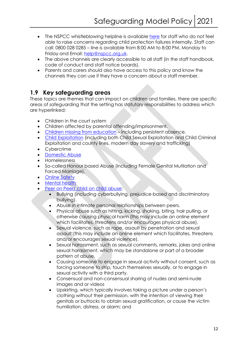- The NSPCC whistleblowing helpline is available here for staff who do not feel able to raise concerns regarding child protection failures internally. Staff can call: 0800 028 0285 – line is available from 8:00 AM to 8:00 PM, Monday to Friday and Email: help@nspcc.org.uk.
- The above channels are clearly accessible to all staff (in the staff handbook, code of conduct and staff notice boards).
- Parents and carers should also have access to this policy and know the channels they can use if they have a concern about a staff member.

# **1.9 Key safeguarding areas**

These topics are themes that can impact on children and families, there are specific areas of safeguarding that the setting has statutory responsibilities to address which are hyperlinked:

- Children in the court system
- Children affected by parental offending/imprisonment.
- Children missing from education including persistent absence.
- Child Exploitation (including both Child Sexual Exploitation and Child Criminal Exploitation and county lines, modern day slavery and trafficking)
- Cybercrime
- Domestic Abuse
- Homelessness
- So-called Honour based Abuse (including Female Genital Mutilation and Forced Marriage),
- **Online Safety**
- **Mental health**
- Peer on Peer/ child on child abuse:
	- Bullying (including cyberbullying, prejudice-based and discriminatory bullying).
	- Abuse in intimate personal relationships between peers.
	- Physical abuse such as hitting, kicking, shaking, biting, hair pulling, or otherwise causing physical harm (this may include an online element which facilitates, threatens and/or encourages physical abuse).
	- Sexual violence, such as rape, assault by penetration and sexual assault;(this may include an online element which facilitates, threatens and/or encourages sexual violence).
	- Sexual harassment, such as sexual comments, remarks, jokes and online sexual harassment, which may be standalone or part of a broader pattern of abuse.
	- Causing someone to engage in sexual activity without consent, such as forcing someone to strip, touch themselves sexually, or to engage in sexual activity with a third party.
	- Consensual and non-consensual sharing of nudes and semi-nude images and or videos
	- Upskirting, which typically involves taking a picture under a person's clothing without their permission, with the intention of viewing their genitals or buttocks to obtain sexual gratification, or cause the victim humiliation, distress, or alarm; and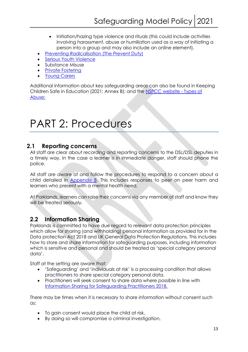- Initiation/hazing type violence and rituals (this could include activities involving harassment, abuse or humiliation used as a way of initiating a person into a group and may also include an online element).
- Preventing Radicalisation (The Prevent Duty)
- Serious Youth Violence
- Substance Misuse
- **Private Fostering**
- **Young Carers**

Additional information about key safeguarding areas can also be found in Keeping Children Safe in Education (2021; Annex B); and the NSPCC website - Types of Abuse;

# PART 2: Procedures

## **2.1 Reporting concerns**

All staff are clear about recording and reporting concerns to the DSL/DSL deputies in a timely way. In the case a learner is in immediate danger, staff should phone the police.

All staff are aware of and follow the procedures to respond to a concern about a child detailed in Appendix B. This includes responses to peer on peer harm and learners who present with a mental health need.

At Parklands, learners can raise their concerns via any member of staff and know they will be treated seriously.

# **2.2 Information Sharing**

Parklands is committed to have due regard to relevant data protection principles which allow for sharing (and withholding) personal information as provided for in the Data protection Act 2018 and UK General Data Protection Regulations. This includes how to store and share information for safeguarding purposes, including information which is sensitive and personal and should be treated as 'special category personal data'.

Staff at the setting are aware that:

- 'Safeguarding' and 'individuals at risk' is a processing condition that allows practitioners to share special category personal data.
- Practitioners will seek consent to share data where possible in line with Information Sharing for Safeguarding Practitioners 2018.

There may be times when it is necessary to share information without consent such as:

- To gain consent would place the child at risk,
- By doing so will compromise a criminal investigation,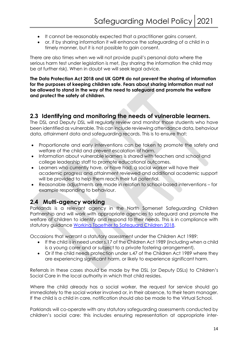- It cannot be reasonably expected that a practitioner gains consent,
- or, if by sharing information it will enhance the safeguarding of a child in a timely manner, but it is not possible to gain consent.

There are also times when we will not provide pupil's personal data where the serious harm test under legislation is met, (by sharing the information the child may be at further risk). When in doubt we will seek legal advice.

**The Data Protection Act 2018 and UK GDPR do not prevent the sharing of information for the purposes of keeping children safe. Fears about sharing information must not be allowed to stand in the way of the need to safeguard and promote the welfare and protect the safety of children.**

### **2.3 Identifying and monitoring the needs of vulnerable learners.**

The DSL and Deputy DSL will regularly review and monitor those students who have been identified as vulnerable. This can include reviewing attendance data, behaviour data, attainment data and safeguarding records. This is to ensure that:

- Proportionate and early interventions can be taken to promote the safety and welfare of the child and prevent escalation of harm.
- Information about vulnerable learners is shared with teachers and school and college leadership staff to promote educational outcomes.
- Learners who currently have, or have had, a social worker will have their academic progress and attainment reviewed and additional academic support will be provided to help them reach their full potential.
- Reasonable adjustments are made in relation to school-based interventions for example responding to behaviour.

# **2.4 Multi-agency working**

Parklands is a relevant agency in the North Somerset Safeguarding Children Partnership and will work with appropriate agencies to safeguard and promote the welfare of children to identify and respond to their needs. This is in compliance with statutory guidance Working Together to Safeguard Children 2018.

Occasions that warrant a statutory assessment under the Children Act 1989:

- If the child is in need under s.17 of the Children Act 1989 (including when a child is a young carer and or subject to a private fostering arrangement).
- Or if the child needs protection under s.47 of the Children Act 1989 where they are experiencing significant harm, or likely to experience significant harm.

Referrals in these cases should be made by the DSL (or Deputy DSLs) to Children's Social Care in the local authority in which that child resides.

Where the child already has a social worker, the request for service should go immediately to the social worker involved or, in their absence, to their team manager. If the child is a child in care, notification should also be made to the Virtual School.

Parklands will co-operate with any statutory safeguarding assessments conducted by children's social care: this includes ensuring representation at appropriate inter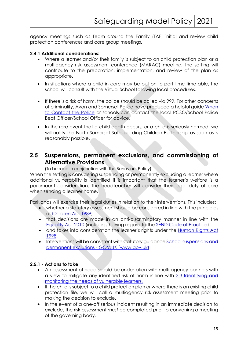agency meetings such as Team around the Family (TAF) initial and review child protection conferences and core group meetings.

#### **2.4.1 Additional considerations:**

- Where a learner and/or their family is subject to an child protection plan or a multiagency risk assessment conference (MARAC) meeting, the setting will contribute to the preparation, implementation, and review of the plan as appropriate.
- In situations where a child in care may be put on to part time timetable, the school will consult with the Virtual School following local procedures.
- If there is a risk of harm, the police should be called via 999. For other concerns of criminality, Avon and Somerset Police have produced a helpful guide When to Contact the Police or schools can contact the local PCSO/School Police Beat Officer/School Officer for advice.
- In the rare event that a child death occurs, or a child is seriously harmed, we will notify the North Somerset Safeguarding Children Partnership as soon as is reasonably possible.

# **2.5 Suspensions, permanent exclusions, and commissioning of Alternative Provisions**

(To be read in conjunction with the Behaviour Policy)

When the setting is considering suspending or permanently excluding a learner where additional vulnerability is identified it is important that the learner's welfare is a paramount consideration. The headteacher will consider their legal duty of care when sending a learner home.

Parklands will exercise their legal duties in relation to their interventions. This includes:

- whether a statutory assessment should be considered in line with the principles of Children Act 1989,
- that decisions are made in an anti-discriminatory manner in line with the Equality Act 2010 (including having regard to the SEND Code of Practice)
- and takes into consideration the learner's rights under the Human Rights Act 1998.
- Interventions will be consistent with statutory guidance School suspensions and permanent exclusions - GOV.UK (www.gov.uk)

#### **2.5.1 - Actions to take**

- An assessment of need should be undertaken with multi-agency partners with a view to mitigate any identified risk of harm in line with 2.3 Identifying and monitoring the needs of vulnerable learners.
- If the child is subject to a child protection plan or where there is an existing child protection file, we will call a multiagency risk-assessment meeting prior to making the decision to exclude.
- In the event of a one-off serious incident resulting in an immediate decision to exclude, the risk assessment *must* be completed prior to convening a meeting of the governing body.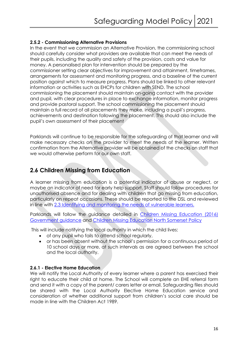#### **2.5.2 - Commissioning Alternative Provisions**

In the event that we commission an Alternative Provision, the commissioning school should carefully consider what providers are available that can meet the needs of their pupils, including the quality and safety of the provision, costs and value for money. A personalised plan for intervention should be prepared by the commissioner setting clear objectives for improvement and attainment, timeframes, arrangements for assessment and monitoring progress, and a baseline of the current position against which to measure progress. Plans should be linked to other relevant information or activities such as EHCPs for children with SEND. The school commissioning the placement should maintain on-going contact with the provider and pupil, with clear procedures in place to exchange information, monitor progress and provide pastoral support. The school commissioning the placement should maintain a full record of all placements they make, including a pupil's progress, achievements and destination following the placement. This should also include the pupil's own assessment of their placement

Parklands will continue to be responsible for the safeguarding of that learner and will make necessary checks on the provider to meet the needs of the learner. Written confirmation from the Alternative provider will be obtained of the checks on staff that we would otherwise perform for our own staff.

# **2.6 Children Missing from Education**

A learner missing from education is a potential indicator of abuse or neglect, or maybe an indicator of need for early help support. Staff should follow procedures for unauthorised absence and for dealing with children that go missing from education, particularly on repeat occasions. These should be reported to the DSL and reviewed in line with 2.3 Identifying and monitoring the needs of vulnerable learners.

Parklands will follow the guidance detailed in Children Missing Education (2016) Government guidance and Children Missing Education North Somerset Policy

This will include notifying the local authority in which the child lives:

- of any pupil who fails to attend school regularly,
- or has been absent without the school's permission for a continuous period of 10 school days or more, at such intervals as are agreed between the school and the local authority.

#### **2.6.1 - Elective Home Education**

We will notify the Local Authority of every learner where a parent has exercised their right to educate their child at home. The School will complete an EHE referral form and send it with a copy of the parent/ carers letter or email. Safeguarding files should be shared with the Local Authority Elective Home Education service and consideration of whether additional support from children's social care should be made in line with the Children Act 1989.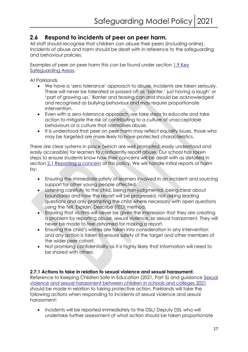# **2.6 Respond to incidents of peer on peer harm.**

All staff should recognise that children can abuse their peers (including online). Incidents of abuse and harm should be dealt with in reference to the safeguarding and behaviour policies.

Examples of peer on peer harm this can be found under section 1.9 Key Safeguarding Areas.

At Parklands

- We have a 'zero tolerance' approach to abuse. Incidents are taken seriously. These will never be tolerated or passed off as 'banter,' just having a laugh' or 'part of growing up.' Banter and teasing can and should be acknowledged and recognised as bullying behaviour and may require proportionate intervention.
- Even with a zero-tolerance approach, we take steps to educate and take action to mitigate the risk of contributing to a culture of unacceptable behaviours or a culture that normalises abuse.
- It is understood that peer on peer harm may reflect equality issues, those who may be targeted are more likely to have protected characteristics.

There are clear systems in place (which are well promoted, easily understood and easily accessible) for learners to confidently report abuse. Our school has taken steps to ensure students know how their concerns will be dealt with as detailed in section 2.1 Reporting a concern of this policy. We will handle initial reports of harm by:

- Ensuring the immediate safety of learners involved in an incident and sourcing support for other young people affected.
- Listening carefully to the child, being non-judgmental, being clear about boundaries and how the report will be progressed, not asking leading questions and only prompting the child where necessary with open questions using the Tell, Explain, Describe (TED) method.
- Ensuring that victims will never be given the impression that they are creating a problem by reporting abuse, sexual violence, or sexual harassment. They will never be made to feel ashamed for making a report.
- Ensuring the child's wishes are taken into consideration in any intervention and any action is taken to ensure safety of the target and other members of the wider peer cohort.
- Not promising confidentiality as it is highly likely that information will need to be shared with others.

#### **2.7.1 Actions to take in relation to sexual violence and sexual harassment.**

Reference to Keeping Children Safe In Education (2021, Part 5) and guidance Sexual violence and sexual harassment between children in schools and colleges 2021 should be made in relation to taking protective action. Parklands will take the following actions when responding to incidents of sexual violence and sexual harassment:

• Incidents will be reported immediately to the DSL/ Deputy DSL who will undertake further assessment of what action should be taken proportionate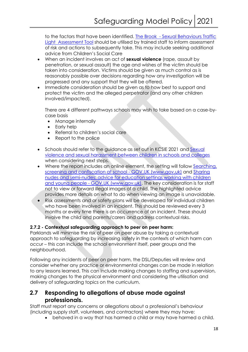to the factors that have been identified. The Brook - Sexual Behaviours Traffic Light Assessment Tool should be utilised by trained staff to inform assessment of risk and actions to subsequently take. This may include seeking additional advice from Children's Social Care

- When an incident involves an act of **sexual violence** (rape, assault by penetration, or sexual assault) the age and wishes of the victim should be taken into consideration. Victims should be given as much control as is reasonably possible over decisions regarding how any investigation will be progressed and any support that they will be offered.
- Immediate consideration should be given as to how best to support and protect the victim and the alleged perpetrator (and any other children involved/impacted).

There are 4 different pathways schools may wish to take based on a case-bycase basis

- Manage internally
- Early help
- Referral to children's social care
- Report to the police
- Schools should refer to the guidance as set out in KCSIE 2021 and Sexual violence and sexual harassment between children in schools and colleges when considering next steps.
- Where the report includes an online element, the setting will follow Searching, screening and confiscation at school - GOV.UK (www.gov.uk) and Sharing nudes and semi-nudes: advice for education settings working with children and young people - GOV.UK (www.gov.uk). The key consideration is for staff not to view or forward illegal images of a child. The highlighted advice provides more details on what to do when viewing an image is unavoidable.
- Risk assessments and or safety plans will be developed for individual children who have been involved in an incident. This should be reviewed every 3 months or every time there is an occurrence of an incident. These should involve the child and parents/carers and address contextual risks.

#### **2.7.2 - Contextual safeguarding approach to peer on peer harm:**

Parklands will minimise the risk of peer on peer abuse by taking a contextual approach to safeguarding by increasing safety in the contexts of which harm can occur – this can include the school environment itself, peer groups and the neighbourhood.

Following any incidents of peer on peer harm, the DSL/Deputies will review and consider whether any practice or environmental changes can be made in relation to any lessons learned. This can include making changes to staffing and supervision, making changes to the physical environment and considering the utilisation and delivery of safeguarding topics on the curriculum.

# **2.7 Responding to allegations of abuse made against professionals.**

Staff must report any concerns or allegations about a professional's behaviour (including supply staff, volunteers, and contractors) where they may have:

• behaved in a way that has harmed a child or may have harmed a child.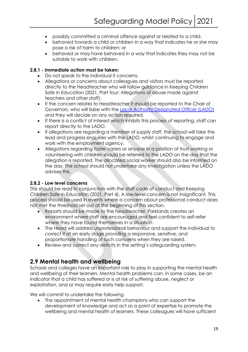- possibly committed a criminal offence against or related to a child.
- behaved towards a child or children in a way that indicates he or she may pose a risk of harm to children; or
- behaved or may have behaved in a way that indicates they may not be suitable to work with children.

#### **2.8.1 - Immediate action must be taken:**

- Do not speak to the individual it concerns.
- Allegations or concerns about colleagues and visitors must be reported directly to the Headteacher who will follow guidance in Keeping Children Safe in Education (2021, Part four: Allegations of abuse made against teachers and other staff).
- If the concern relates to Headteacher it should be reported to the Chair of Governors, who will liaise with the Local Authority Designated Officer (LADO) and they will decide on any action required.
- If there is a conflict of interest which inhibits this process of reporting, staff can report directly to the LADO.
- If allegations are regarding a member of supply staff, the school will take the lead and progress enquiries with the LADO, whilst continuing to engage and work with the employment agency.
- Allegations regarding foster carers or anyone in a position of trust working or volunteering with children should be referred to the LADO on the day that the allegation is reported. The allocated social worker should also be informed on the day. The school should not undertake any investigation unless the LADO advises this.

#### **2.8.2 - Low level concerns**

This should be read in conjunction with the staff code of conduct and Keeping Children Safe in Education (2021, Part 4). A low-level concern is not insignificant. This process should be used in events where a concern about professional conduct does not met the threshold set out at the beginning of this section.

- Reports should be made to the headteacher. Parklands creates an environment where staff are encouraged and feel confident to self-refer where they have found themselves in a situation.
- The Head will address unprofessional behaviour and support the individual to correct it at an early stage providing a responsive, sensitive, and proportionate handling of such concerns when they are raised.
- Review and correct any deficits in the setting's safeguarding system.

# **2.9 Mental health and wellbeing**

Schools and colleges have an important role to play in supporting the mental health and wellbeing of their learners. Mental health problems can, in some cases, be an indicator that a child has suffered or is at risk of suffering abuse, neglect or exploitation, and or may require early help support.

We will commit to undertake the following.

• The appointment of mental health champions who can support the development of knowledge and act as a point of expertise to promote the wellbeing and mental health of learners. These colleagues will have sufficient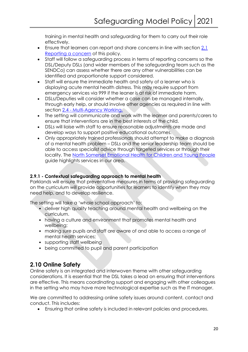training in mental health and safeguarding for them to carry out their role effectively.

- Ensure that learners can report and share concerns in line with section 2.1 Reporting a concern of this policy.
- Staff will follow a safeguarding process in terms of reporting concerns so the DSL/Deputy DSLs (and wider members of the safeguarding team such as the SENDCo) can assess whether there are any other vulnerabilities can be identified and proportionate support considered.
- Staff will ensure the immediate health and safety of a learner who is displaying acute mental health distress. This may require support from emergency services via 999 if the leaner is at risk of immediate harm.
- DSLs/Deputies will consider whether a case can be managed internally, through early help, or should involve other agencies as required in line with section 2.4 - Multi-Agency Working.
- The setting will communicate and work with the learner and parents/carers to ensure that interventions are in the best interests of the child.
- DSLs will liaise with staff to ensure reasonable adjustments are made and develop ways to support positive educational outcomes.
- Only appropriately trained professionals should attempt to make a diagnosis of a mental health problem – DSLs and the senior leadership team should be able to access specialist advice through targeted services or through their locality. The North Somerset Emotional Health for Children and Young People guide highlights services in our area.

#### **2.9.1 - Contextual safeguarding approach to mental health**

Parklands will ensure that preventative measures in terms of providing safeguarding on the curriculum will provide opportunities for learners to identify when they may need help, and to develop resilience.

The setting will take a 'whole school approach' to:

- deliver high quality teaching around mental health and wellbeing on the curriculum.
- having a culture and environment that promotes mental health and wellbeing;
- making sure pupils and staff are aware of and able to access a range of mental health services;
- supporting staff wellbeing
- being committed to pupil and parent participation

# **2.10 Online Safety**

Online safety is an integrated and interwoven theme with other safeguarding considerations. It is essential that the DSL takes a lead on ensuring that interventions are effective. This means coordinating support and engaging with other colleagues in the setting who may have more technological expertise such as the IT manager.

We are committed to addressing online safety issues around content, contact and conduct. This includes:

• Ensuring that online safety is included in relevant policies and procedures.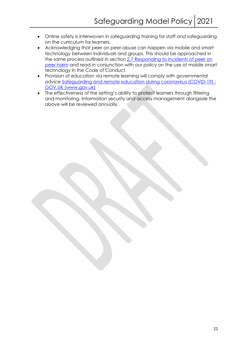- Online safety is interwoven in safeguarding training for staff and safeguarding on the curriculum for learners.
- Acknowledging that peer on peer abuse can happen via mobile and smart technology between individuals and groups. This should be approached in the same process outlined in section 2.7 Responding to incidents of peer on peer harm and read in conjunction with our policy on the use of mobile smart technology in the Code of Conduct.
- Provision of education via remote learning will comply with governmental advice Safeguarding and remote education during coronavirus (COVID-19) - GOV.UK (www.gov.uk)
- The effectiveness of the setting's ability to protect learners through filtering and monitoring. Information security and access management alongside the above will be reviewed annually.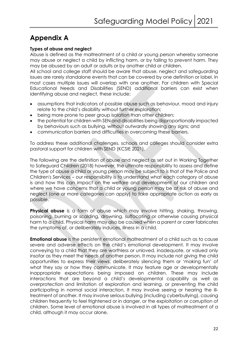# **Appendix A**

#### **Types of abuse and neglect**

Abuse is defined as the maltreatment of a child or young person whereby someone may abuse or neglect a child by inflicting harm, or by failing to prevent harm. They may be abused by an adult or adults or by another child or children.

All school and college staff should be aware that abuse, neglect and safeguarding issues are rarely standalone events that can be covered by one definition or label. In most cases multiple issues will overlap with one another. For children with Special Educational Needs and Disabilities (SEND) additional barriers can exist when identifying abuse and neglect, these include:

- assumptions that indicators of possible abuse such as behaviour, mood and injury relate to the child's disability without further exploration;
- being more prone to peer group isolation than other children;
- the potential for children with SEN and disabilities being disproportionally impacted by behaviours such as bullying, without outwardly showing any signs; and
- communication barriers and difficulties in overcoming these barriers.

To address these additional challenges, schools and colleges should consider extra pastoral support for children with SEND (KCSIE 2021).

The following are the definition of abuse and neglect as set out in Working Together to Safeguard Children (2018) however, the ultimate responsibility to assess and define the type of abuse a child or young person may be subject to is that of the Police and Children's Services – our responsibility is to understand what each category of abuse is and how this can impact on the welfare and development of our children and where we have concerns that a child or young person may be at risk of abuse and neglect (one or more categories can apply) to take appropriate action as early as possible.

**Physical abuse** is a form of abuse which may involve hitting, shaking, throwing, poisoning, burning or scalding, drowning, suffocating or otherwise causing physical harm to a child. Physical harm may also be caused when a parent or carer fabricates the symptoms of, or deliberately induces, illness in a child.

**Emotional abuse** is the persistent emotional maltreatment of a child such as to cause severe and adverse effects on the child's emotional development. It may involve conveying to a child that they are worthless or unloved, inadequate, or valued only insofar as they meet the needs of another person. It may include not giving the child opportunities to express their views, deliberately silencing them or 'making fun' of what they say or how they communicate. It may feature age or developmentally inappropriate expectations being imposed on children. These may include interactions that are beyond a child's developmental capability as well as overprotection and limitation of exploration and learning, or preventing the child participating in normal social interaction. It may involve seeing or hearing the illtreatment of another. It may involve serious bullying (including cyberbullying), causing children frequently to feel frightened or in danger, or the exploitation or corruption of children. Some level of emotional abuse is involved in all types of maltreatment of a child, although it may occur alone.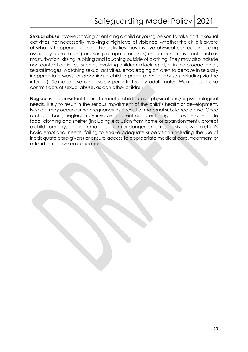**Sexual abuse** involves forcing or enticing a child or young person to take part in sexual activities, not necessarily involving a high level of violence, whether the child is aware of what is happening or not. The activities may involve physical contact, including assault by penetration (for example rape or oral sex) or non-penetrative acts such as masturbation, kissing, rubbing and touching outside of clothing. They may also include non-contact activities, such as involving children in looking at, or in the production of, sexual images, watching sexual activities, encouraging children to behave in sexually inappropriate ways, or grooming a child in preparation for abuse (including via the internet). Sexual abuse is not solely perpetrated by adult males. Women can also commit acts of sexual abuse, as can other children.

**Neglect** is the persistent failure to meet a child's basic physical and/or psychological needs, likely to result in the serious impairment of the child's health or development. Neglect may occur during pregnancy as a result of maternal substance abuse. Once a child is born, neglect may involve a parent or carer failing to provide adequate food, clothing and shelter (including exclusion from home or abandonment), protect a child from physical and emotional harm or danger, an unresponsiveness to a child's basic emotional needs, failing to ensure adequate supervision (including the use of inadequate care-givers) or ensure access to appropriate medical care, treatment or attend or receive an education.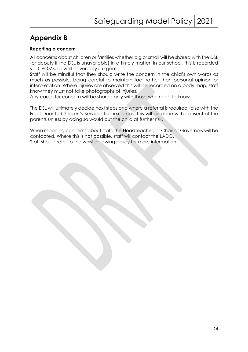# **Appendix B**

#### **Reporting a concern**

All concerns about children or families whether big or small will be shared with the DSL (or deputy if the DSL is unavailable) in a timely matter. In our school, this is recorded via CPOMS, as well as verbally if urgent.

Staff will be mindful that they should write the concern in the child's own words as much as possible, being careful to maintain fact rather than personal opinion or interpretation. Where injuries are observed this will be recorded on a body map, staff know they must not take photographs of injuries.

Any cause for concern will be shared only with those who need to know.

The DSL will ultimately decide next steps and where a referral is required liaise with the Front Door to Children's Services for next steps. This will be done with consent of the parents unless by doing so would put the child at further risk.

When reporting concerns about staff, the Headteacher, or Chair of Governors will be contacted. Where this is not possible, staff will contact the LADO. Staff should refer to the whistleblowing policy for more information.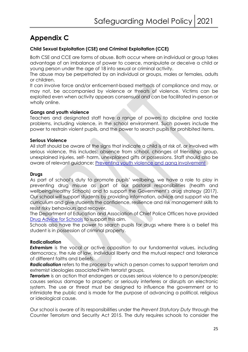# **Appendix C**

#### **Child Sexual Exploitation (CSE) and Criminal Exploitation (CCE)**

Both CSE and CCE are forms of abuse. Both occur where an individual or group takes advantage of an imbalance of power to coerce, manipulate or deceive a child or young person under the age of 18 into sexual or criminal activity.

The abuse may be perpetrated by an individual or groups, males or females, adults or children.

It can involve force and/or enticement-based methods of compliance and may, or may not, be accompanied by violence or threats of violence. Victims can be exploited even when activity appears consensual and can be facilitated in-person or wholly online.

#### **Gangs and youth violence**

Teachers and designated staff have a range of powers to discipline and tackle problems, including violence, in the school environment. Such powers include the power to restrain violent pupils, and the power to search pupils for prohibited items.

#### **Serious Violence**

All staff should be aware of the signs that indicate a child is at risk of, or involved with serious violence, this includes: absence from school, changes of friendship group, unexplained injuries, self- harm, unexplained gifts or possessions. Staff should also be aware of relevant guidance: Preventing youth violence and gang involvement

#### **Drugs**

As part of school's duty to promote pupils' wellbeing, we have a role to play in preventing drug misuse as part of our pastoral responsibilities (health and wellbeing/Healthy Schools) and to support the Government's drug strategy (2017). Our school will support students by providing information, advice and support via the curriculum and give students the confidence, resilience and risk management skills to resist risky behaviours and recover.

The Department of Education and Association of Chief Police Officers have provided Drug Advice for Schools to support this aim.

Schools also have the power to search pupils for drugs where there is a belief this student is in possession of criminal property.

#### **Radicalisation**

**Extremism** is the vocal or active opposition to our fundamental values, including democracy, the rule of law, individual liberty and the mutual respect and tolerance of different faiths and beliefs.

*Radicalisation* refers to the process by which a person comes to support terrorism and extremist ideologies associated with terrorist groups.

**Terrorism** is an action that endangers or causes serious violence to a person/people; causes serious damage to property; or seriously interferes or disrupts an electronic system. The use or threat must be designed to influence the government or to intimidate the public and is made for the purpose of advancing a political, religious or ideological cause.

Our school is aware of its responsibilities under the *Prevent Statutory Duty* through the Counter Terrorism and Security Act 2015. The duty requires schools to consider the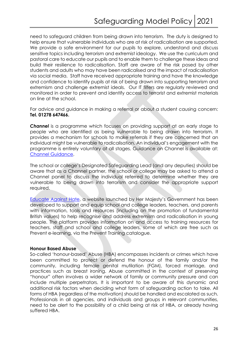need to safeguard children from being drawn into terrorism. The duty is designed to help ensure that vulnerable individuals who are at risk of radicalisation are supported. We provide a safe environment for our pupils to explore, understand and discuss sensitive topics including terrorism and extremist ideology. We use the curriculum and pastoral care to educate our pupils and to enable them to challenge these ideas and build their resilience to radicalisation. Staff are aware of the risk posed by other students and adults who may have been radicalised and the impact of radicalisation via social media. Staff have received appropriate training and have the knowledge and confidence to identify pupils at risk of being drawn into supporting terrorism and extremism and challenge extremist ideals. Our IT filters are regularly reviewed and monitored in order to prevent and identify access to terrorist and extremist materials on line at the school.

For advice and guidance in making a referral or about a student causing concern: **Tel. 01278 647466.**

*Channel* is a programme which focuses on providing support at an early stage to people who are identified as being vulnerable to being drawn into terrorism. It provides a mechanism for schools to make referrals if they are concerned that an individual might be vulnerable to radicalisation. An individual's engagement with the programme is entirely voluntary at all stages. Guidance on Channel is available at: Channel Guidance.

The school or college's Designated Safeguarding Lead (and any deputies) should be aware that as a Channel partner, the school or college may be asked to attend a Channel panel to discuss the individual referred to determine whether they are vulnerable to being drawn into terrorism and consider the appropriate support required.

Educate Against Hate, a website launched by Her Majesty's Government has been developed to support and equip school and college leaders, teachers, and parents with information, tools and resources (including on the promotion of fundamental British values) to help recognise and address extremism and radicalisation in young people. The platform provides information on and access to training resources for teachers, staff and school and college leaders, some of which are free such as Prevent e-learning, via the Prevent Training catalogue.

#### **Honour Based Abuse**

So-called 'honour-based' Abuse (HBA) encompasses incidents or crimes which have been committed to protect or defend the honour of the family and/or the community, including female genital mutilation (FGM), forced marriage, and practices such as breast ironing. Abuse committed in the context of preserving "honour" often involves a wider network of family or community pressure and can include multiple perpetrators. It is important to be aware of this dynamic and additional risk factors when deciding what form of safeguarding action to take. All forms of HBA (regardless of the motivation) should be handled and escalated as such. Professionals in all agencies, and individuals and groups in relevant communities, need to be alert to the possibility of a child being at risk of HBA, or already having suffered HBA.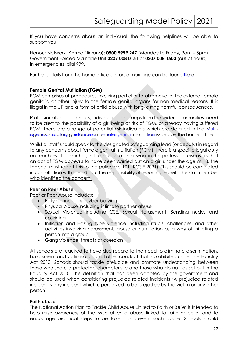If you have concerns about an individual, the following helplines will be able to support you

Honour Network (Karma Nirvana): **0800 5999 247** (Monday to Friday, 9am – 5pm) Government Forced Marriage Unit **0207 008 0151** or **0207 008 1500** (out of hours) In emergencies, dial 999.

Further details from the home office on force marriage can be found here

#### **Female Genital Mutilation (FGM)**

FGM comprises all procedures involving partial or total removal of the external female genitalia or other injury to the female genital organs for non-medical reasons. It is illegal in the UK and a form of child abuse with long-lasting harmful consequences.

Professionals in all agencies, individuals and groups from the wider communities, need to be alert to the possibility of a girl being at risk of FGM, or already having suffered FGM. There are a range of potential risk indicators which are detailed in the Multiagency statutory guidance on female genital mutilation issued by the home office.

Whilst all staff should speak to the designated safeguarding lead (or deputy) in regard to any concerns about female genital mutilation (FGM), there is a specific legal duty on teachers. If a teacher, in the course of their work in the profession, discovers that an act of FGM appears to have been carried out on a girl under the age of 18, the teacher must report this to the police via 101 (KCSIE 2021). This should be completed in consultation with the DSL but the responsibility of reporting lies with the staff member who identified the concern.

#### **Peer on Peer Abuse**

Peer or Peer Abuse includes:

- Bullying, including cyber bullying
- Physical Abuse including intimate partner abuse
- Sexual Violence including CSE, Sexual Harassment, Sending nudes and upskirting
- Initiation and Hazing type violence including rituals, challenges, and other activities involving harassment, abuse or humiliation as a way of initiating a person into a group
- Gang violence, threats or coercion

All schools are required to have due regard to the need to eliminate discrimination, harassment and victimisation and other conduct that is prohibited under the Equality Act 2010. Schools should tackle prejudice and promote understanding between those who share a protected characteristic and those who do not, as set out in the Equality Act 2010. The definition that has been adopted by the government and should be used when considering prejudice related incidents 'A prejudice related incident is any incident which is perceived to be prejudice by the victim or any other person'

#### **Faith abuse**

The National Action Plan to Tackle Child Abuse Linked to Faith or Belief is intended to help raise awareness of the issue of child abuse linked to faith or belief and to encourage practical steps to be taken to prevent such abuse. Schools should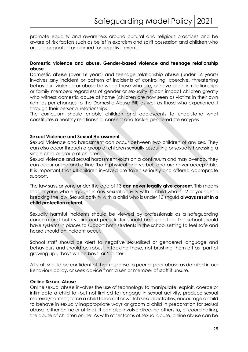promote equality and awareness around cultural and religious practices and be aware of risk factors such as belief in exorcism and spirit possession and children who are scapegoated or blamed for negative events.

#### **Domestic violence and abuse, Gender-based violence and teenage relationship abuse**

Domestic abuse (over 16 years) and teenage relationship abuse (under 16 years) involves any incident or pattern of incidents of controlling, coercive, threatening behaviour, violence or abuse between those who are, or have been in relationships or family members regardless of gender or sexuality. It can impact children greatly who witness domestic abuse at home (children are now seen as victims in their own right as per changes to the Domestic Abuse Bill) as well as those who experience it through their personal relationships.

The curriculum should enable children and adolescents to understand what constitutes a healthy relationship, consent and tackle gendered stereotypes.

#### **Sexual Violence and Sexual Harassment**

Sexual Violence and harassment can occur between two children of any sex. They can also occur through a group of children sexually assaulting or sexually harassing a single child or group of children.

Sexual violence and sexual harassment exists on a continuum and may overlap, they can occur online and offline (both physical and verbal) and are never acceptable. It is important that **all** children involved are taken seriously and offered appropriate support.

The law says anyone under the age of 13 **can never legally give consent**. This means that anyone who engages in any sexual activity with a child who is 12 or younger is breaking the law. Sexual activity with a child who is under 13 should **always result in a child protection referral.**

Sexually harmful incidents should be viewed by professionals as a safeguarding concern and both victim and perpetrator should be supported. The school should have systems in places to support both students in the school setting to feel safe and heard should an incident occur.

School staff should be alert to negative sexualised or gendered language and behaviours and should be robust in tackling these, not brushing them off as 'part of growing up', 'boys will be boys' or 'banter'.

All staff should be confident of their response to peer or peer abuse as detailed in our Behaviour policy, or seek advice from a senior member of staff if unsure.

#### **Online Sexual Abuse**

Online sexual abuse involves the use of technology to manipulate, exploit, coerce or intimidate a child to (but not limited to) engage in sexual activity, produce sexual material/content, force a child to look at or watch sexual activities, encourage a child to behave in sexually inappropriate ways or groom a child in preparation for sexual abuse (either online or offline). It can also involve directing others to, or coordinating, the abuse of children online. As with other forms of sexual abuse, online abuse can be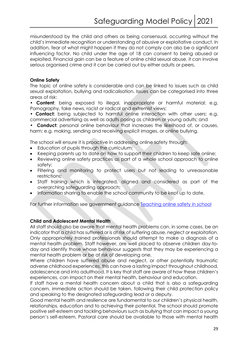misunderstood by the child and others as being consensual, occurring without the child's immediate recognition or understanding of abusive or exploitative conduct. In addition, fear of what might happen if they do not comply can also be a significant influencing factor. No child under the age of 18 can consent to being abused or exploited. Financial gain can be a feature of online child sexual abuse, it can involve serious organised crime and it can be carried out by either adults or peers.

#### **Online Safety**

The topic of online safety is considerable and can be linked to issues such as child sexual exploitation, bullying and radicalisation. Issues can be categorised into three areas of risk:

• **Content**: being exposed to illegal, inappropriate or harmful material; e.g. Pornography, fake news, racist or radical and extremist views;

• **Contact:** being subjected to harmful online interaction with other users; e.g. commercial advertising as well as adults posing as children or young adults; and

**Conduct:** personal online behaviour that increases the likelihood of, or causes, harm; e.g. making, sending and receiving explicit images, or online bullying.

The school will ensure it is proactive in addressing online safety through:

- Education of pupils through the curriculum;
- Keeping parents up to date on how to support their children to keep safe online;
- Reviewing online safety practices as part of a whole school approach to online safety;
- Filtering and monitoring to protect users but not leading to unreasonable restrictions;
- Staff training which is integrated, aligned and considered as part of the overarching safeguarding approach;
- Information sharing to enable the school community to be kept up to date.

For further information see government guidance **Teaching online safety in school** 

#### **Child and Adolescent Mental Health**

All staff should also be aware that mental health problems can, in some cases, be an indicator that a child has suffered or is at risk of suffering abuse, neglect or exploitation. Only appropriately trained professionals should attempt to make a diagnosis of a mental health problem. Staff however, are well placed to observe children day-today and identify those whose behaviour suggests that they may be experiencing a mental health problem or be at risk of developing one.

Where children have suffered abuse and neglect, or other potentially traumatic adverse childhood experiences, this can have a lasting impact throughout childhood, adolescence and into adulthood. It is key that staff are aware of how these children's experiences, can impact on their mental health, behaviour and education.

If staff have a mental health concern about a child that is also a safeguarding concern, immediate action should be taken, following their child protection policy and speaking to the designated safeguarding lead or a deputy.

Good mental health and resilience are fundamental to our children's physical health, relationships, education and to achieving their potential. The school should promote positive self-esteem and tackling behaviours such as bullying that can impact a young person's self-esteem. Pastoral care should be available to those with mental health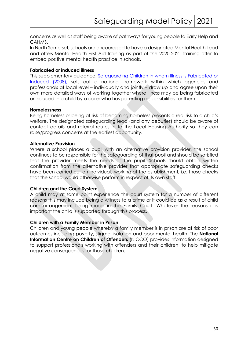concerns as well as staff being aware of pathways for young people to Early Help and CAHMS.

In North Somerset, schools are encouraged to have a designated Mental Health Lead and offers Mental Health First Aid training as part of the 2020-2021 training offer to embed positive mental health practice in schools.

#### **Fabricated or induced illness**

This supplementary guidance, Safeguarding Children in whom Illness is Fabricated or Induced (2008), sets out a national framework within which agencies and professionals at local level – individually and jointly – draw up and agree upon their own more detailed ways of working together where illness may be being fabricated or induced in a child by a carer who has parenting responsibilities for them.

#### **Homelessness**

Being homeless or being at risk of becoming homeless presents a real risk to a child's welfare. The designated safeguarding lead (and any deputies) should be aware of contact details and referral routes in to the Local Housing Authority so they can raise/progress concerns at the earliest opportunity.

#### **Alternative Provision**

Where a school places a pupil with an alternative provision provider, the school continues to be responsible for the safeguarding of that pupil and should be satisfied that the provider meets the needs of the pupil. Schools should obtain written confirmation from the alternative provider that appropriate safeguarding checks have been carried out on individuals working at the establishment, i.e. those checks that the school would otherwise perform in respect of its own staff.

#### **Children and the Court System**

A child may at some point experience the court system for a number of different reasons this may include being a witness to a crime or it could be as a result of child care arrangement being made in the Family Court. Whatever the reasons it is important the child is supported through this process.

#### **Children with a Family Member in Prison**

Children and young people whereby a family member is in prison are at risk of poor outcomes including poverty, stigma, isolation and poor mental health. The **National Information Centre on Children of Offenders** (NICCO) provides information designed to support professionals working with offenders and their children, to help mitigate negative consequences for those children.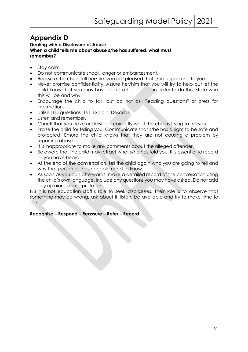# **Appendix D**

#### **Dealing with a Disclosure of Abuse When a child tells me about abuse s/he has suffered, what must I remember?**

- Stay calm.
- Do not communicate shock, anger or embarrassment.
- Reassure the child. Tell her/him you are pleased that s/he is speaking to you.
- Never promise confidentiality. Assure her/him that you will try to help but let the child know that you may have to tell other people in order to do this. State who this will be and why.
- Encourage the child to talk but do not ask "leading questions" or press for information.
- Utilise TED questions- Tell, Explain, Describe
- Listen and remember.
- Check that you have understood correctly what the child is trying to tell you.
- Praise the child for telling you. Communicate that s/he has a right to be safe and protected. Ensure the child knows that they are not causing a problem by reporting abuse
- It is inappropriate to make any comments about the alleged offender.
- Be aware that the child may retract what s/he has told you. It is essential to record all you have heard.
- At the end of the conversation, tell the child again who you are going to tell and why that person or those people need to know.
- As soon as you can afterwards, make a detailed record of the conversation using the child's own language. Include any questions you may have asked. Do not add any opinions or interpretations.

NB It is not education staff's role to seek disclosures. Their role is to observe that something may be wrong, ask about it, listen, be available and try to make time to talk.

#### **Recognise – Respond – Reassure – Refer – Record**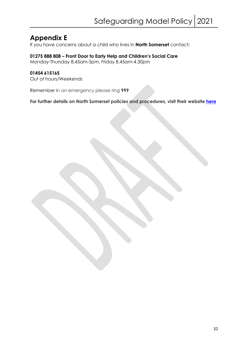# **Appendix E**

If you have concerns about a child who lives in **North Somerset** contact**:**

#### **01275 888 808 – Front Door to Early Help and Children's Social Care**

Monday-Thursday 8.45am-5pm, Friday 8.45am-4.30pm

#### **01454 615165**

Out of hours/Weekends

Remember in an emergency please ring **999**

**For further details on North Somerset policies and procedures, visit their website here**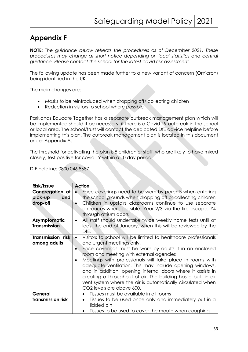# **Appendix F**

**NOTE**: *The guidance below reflects the procedures as of December 2021. These procedures may change at short notice depending on local statistics and central guidance. Please contact the school for the latest covid risk assessment.* 

The following update has been made further to a new variant of concern (Omicron) being identified in the UK.

The main changes are:

- Masks to be reintroduced when dropping off/ collecting children
- Reduction in visitors to school where possible

Parklands Educate Together has a separate outbreak management plan which will be implemented should it be necessary, if there is a Covid-19 outbreak in the school or local area. The school/trust will contact the dedicated DfE advice helpline before implementing this plan. The outbreak management plan is located in this document under Appendix A.

The threshold for activating the plan is 5 children or staff, who are likely to have mixed closely, test positive for covid 19 within a 10 day period.

DfE helpline: 0800 046 8687

| Risk/Issue                                    | <b>Action</b>                                                                                                                                                                                                                                                                                                                                                                                                                                                                                                                                                                               |
|-----------------------------------------------|---------------------------------------------------------------------------------------------------------------------------------------------------------------------------------------------------------------------------------------------------------------------------------------------------------------------------------------------------------------------------------------------------------------------------------------------------------------------------------------------------------------------------------------------------------------------------------------------|
| Congregation at<br>pick-up<br>and<br>drop-off | Face coverings need to be worn by parents when entering<br>$\bullet$<br>the school grounds when dropping off or collecting children<br>Children in upstairs classrooms continue to use separate<br>$\bullet$<br>entrances where possible- Year 2/3 via the fire escape, Y4<br>through atrium doors                                                                                                                                                                                                                                                                                          |
| Asymptomatic<br><b>Transmission</b>           | All staff should undertake twice weekly home tests until at<br>$\bullet$<br>least the end of January, when this will be reviewed by the<br>DfE.                                                                                                                                                                                                                                                                                                                                                                                                                                             |
| Transmission risk<br>among adults             | Visitors to school will be limited to healthcare professionals<br>$\bullet$<br>and urgent meetings only.<br>Face coverings must be worn by adults if in an enclosed<br>$\bullet$<br>room and meeting with external agencies<br>Meetings with professionals will take place in rooms with<br>$\bullet$<br>adequate ventilation. This may include opening windows,<br>and in addition, opening internal doors where it assists in<br>creating a throughput of air. The building has a built in air<br>vent system where the air is automatically circulated when<br>CO2 levels are above 600. |
| General<br>transmission risk                  | Tissues must be available in all rooms<br>$\bullet$<br>Tissues to be used once only and immediately put in a<br>lidded bin<br>Tissues to be used to cover the mouth when coughing                                                                                                                                                                                                                                                                                                                                                                                                           |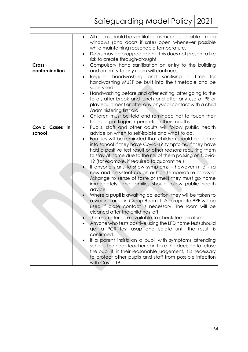|                | All rooms should be ventilated as much as possible – keep             |
|----------------|-----------------------------------------------------------------------|
|                | windows (and doors if safe) open whenever possible                    |
|                | while maintaining reasonable temperature.                             |
|                | Doors may be propped open if this does not present a fire             |
|                | risk to create through-draught                                        |
| <b>Cross</b>   | Compulsory hand sanitisation on entry to the building<br>٠            |
| contamination  | and on entry to any room will continue.                               |
|                | handwashing and sanitising<br>Regular<br>- Time<br>for                |
|                | handwashing MUST be built into the timetable and be                   |
|                | supervised.                                                           |
|                | Handwashing before and after eating, after going to the               |
|                |                                                                       |
|                | toilet, after break and lunch and after any use of PE or              |
|                | play equipment or after any physical contact with a child             |
|                | /administering first aid                                              |
|                | Children must be told and reminded not to touch their                 |
|                | faces or put fingers / pens etc in their mouths.                      |
| Covid Cases in | Pupils, staff and other adults will follow public health<br>$\bullet$ |
| school         | advice on when to self-isolate and what to do.                        |
|                | Families will be reminded that children should not come               |
|                | into school if they have Covid-19 symptoms, if they have              |
|                | had a positive test result or other reasons requiring them            |
|                | to stay at home due to the risk of them passing on Covid-             |
|                |                                                                       |
|                | 19 (for example, if required to quarantine.)                          |
|                | If anyone starts to show symptoms – however mild - (a                 |
|                | new and persistent cough or high temperature or loss of               |
|                | /change to sense of taste or smell) they must go home                 |
|                | immediately, and families should follow public health                 |
|                | advice.                                                               |
|                | Where a pupil is awaiting collection, they will be taken to           |
|                | a waiting area in Group Room 1. Appropriate PPE will be               |
|                | used if close contact is necessary. The room will be                  |
|                | cleaned after the child has left.                                     |
|                | Thermometers are available to check temperatures                      |
|                | Anyone who tests positive using the LFD home tests should             |
|                | get a PCR test asap and isolate until the result is                   |
|                | confirmed.                                                            |
|                |                                                                       |
|                | If a parent insists on a pupil with symptoms attending                |
|                | school, the headteacher can take the decision to refuse               |
|                | the pupil if, in their reasonable judgement, it is necessary          |
|                | to protect other pupils and staff from possible infection             |
|                | with Covid-19.                                                        |